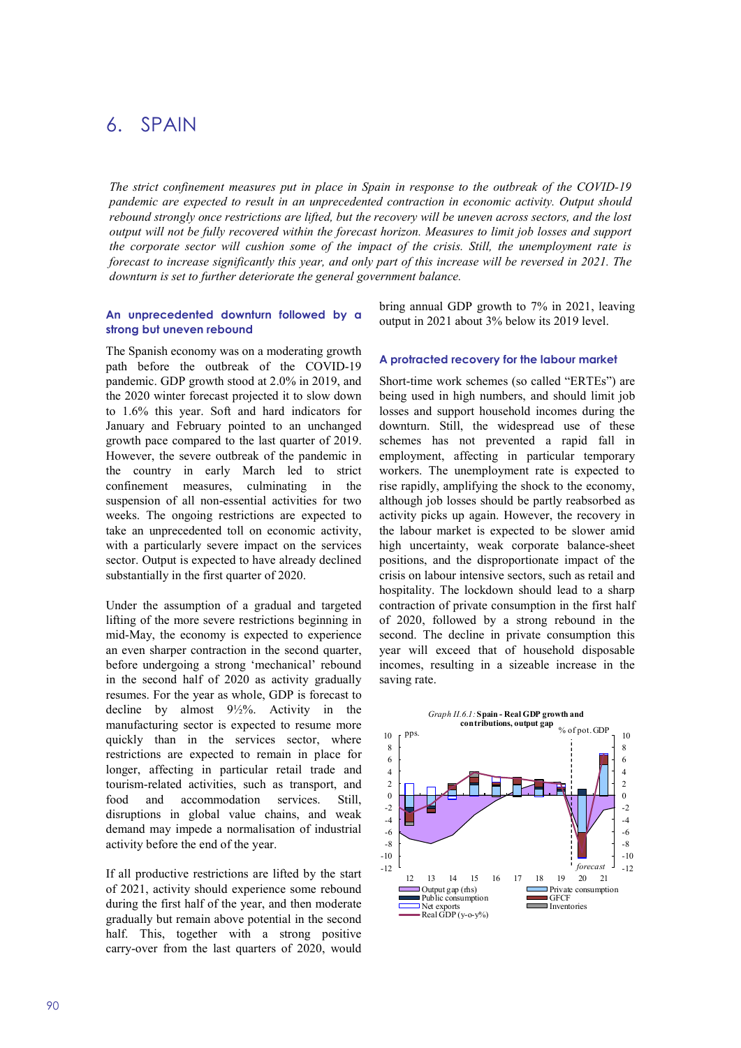# 6. SPAIN

The strict confinement measures put in place in Spain in response to the outbreak of the COVID-19 pandemic are expected to result in an unprecedented contraction in economic activity. Output should rebound strongly once restrictions are lifted, but the recovery will be uneven across sectors, and the lost output will not be fully recovered within the forecast horizon. Measures to limit job losses and support the corporate sector will cushion some of the impact of the crisis. Still, the unemployment rate is forecast to increase significantly this year, and only part of this increase will be reversed in 2021. The downturn is set to further deteriorate the general government balance.

## An unprecedented downturn followed by a strong but uneven rebound

The Spanish economy was on a moderating growth path before the outbreak of the COVID-19 pandemic. GDP growth stood at 2.0% in 2019, and the 2020 winter forecast projected it to slow down to 1.6% this year. Soft and hard indicators for January and February pointed to an unchanged growth pace compared to the last quarter of 2019. However, the severe outbreak of the pandemic in the country in early March led to strict confinement measures, culminating in the suspension of all non-essential activities for two weeks. The ongoing restrictions are expected to take an unprecedented toll on economic activity, with a particularly severe impact on the services sector. Output is expected to have already declined substantially in the first quarter of 2020.

Under the assumption of a gradual and targeted lifting of the more severe restrictions beginning in mid-May, the economy is expected to experience an even sharper contraction in the second quarter, before undergoing a strong 'mechanical' rebound in the second half of 2020 as activity gradually resumes. For the year as whole, GDP is forecast to decline by almost 9½%. Activity in the manufacturing sector is expected to resume more quickly than in the services sector, where restrictions are expected to remain in place for longer, affecting in particular retail trade and tourism-related activities, such as transport, and food and accommodation services. Still, disruptions in global value chains, and weak demand may impede a normalisation of industrial activity before the end of the year.

If all productive restrictions are lifted by the start of 2021, activity should experience some rebound during the first half of the year, and then moderate gradually but remain above potential in the second half. This, together with a strong positive carry-over from the last quarters of 2020, would bring annual GDP growth to 7% in 2021, leaving output in 2021 about 3% below its 2019 level.

## A protracted recovery for the labour market

Short-time work schemes (so called "ERTEs") are being used in high numbers, and should limit job losses and support household incomes during the downturn. Still, the widespread use of these schemes has not prevented a rapid fall in employment, affecting in particular temporary workers. The unemployment rate is expected to rise rapidly, amplifying the shock to the economy, although job losses should be partly reabsorbed as activity picks up again. However, the recovery in the labour market is expected to be slower amid high uncertainty, weak corporate balance-sheet positions, and the disproportionate impact of the crisis on labour intensive sectors, such as retail and hospitality. The lockdown should lead to a sharp contraction of private consumption in the first half of 2020, followed by a strong rebound in the second. The decline in private consumption this year will exceed that of household disposable incomes, resulting in a sizeable increase in the saving rate. d in high numbers, and should limit job<br>support household incomes during the<br>Still, the widespread use of these<br>has not prevented a rapid fall in<br>ent, affecting in particular temporary<br>The unemployment rate is expected to